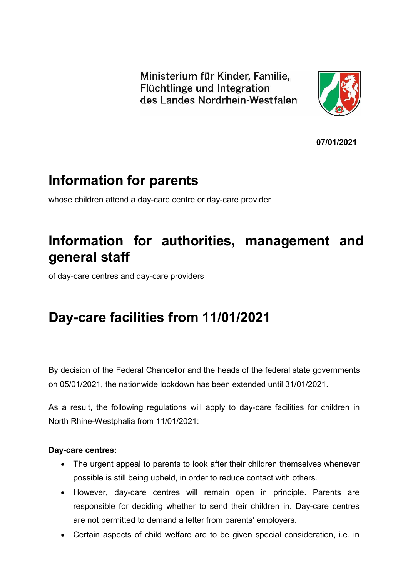Ministerium für Kinder, Familie, Flüchtlinge und Integration des Landes Nordrhein-Westfalen



**07/01/2021**

# **Information for parents**

whose children attend a day-care centre or day-care provider

# **Information for authorities, management and general staff**

of day-care centres and day-care providers

# **Day-care facilities from 11/01/2021**

By decision of the Federal Chancellor and the heads of the federal state governments on 05/01/2021, the nationwide lockdown has been extended until 31/01/2021.

As a result, the following regulations will apply to day-care facilities for children in North Rhine-Westphalia from 11/01/2021:

## **Day-care centres:**

- The urgent appeal to parents to look after their children themselves whenever possible is still being upheld, in order to reduce contact with others.
- However, day-care centres will remain open in principle. Parents are responsible for deciding whether to send their children in. Day-care centres are not permitted to demand a letter from parents' employers.
- Certain aspects of child welfare are to be given special consideration, i.e. in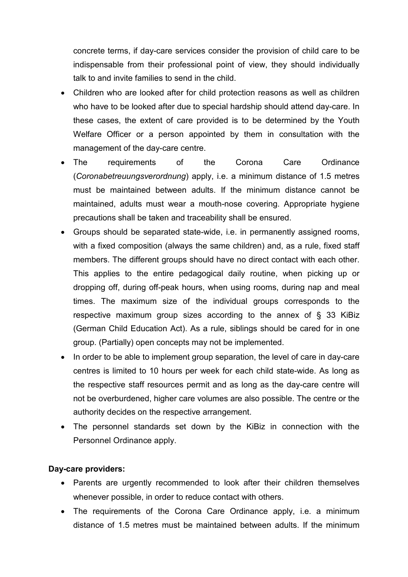concrete terms, if day-care services consider the provision of child care to be indispensable from their professional point of view, they should individually talk to and invite families to send in the child.

- Children who are looked after for child protection reasons as well as children who have to be looked after due to special hardship should attend day-care. In these cases, the extent of care provided is to be determined by the Youth Welfare Officer or a person appointed by them in consultation with the management of the day-care centre.
- The requirements of the Corona Care Ordinance (*Coronabetreuungsverordnung*) apply, i.e. a minimum distance of 1.5 metres must be maintained between adults. If the minimum distance cannot be maintained, adults must wear a mouth-nose covering. Appropriate hygiene precautions shall be taken and traceability shall be ensured.
- Groups should be separated state-wide, i.e. in permanently assigned rooms, with a fixed composition (always the same children) and, as a rule, fixed staff members. The different groups should have no direct contact with each other. This applies to the entire pedagogical daily routine, when picking up or dropping off, during off-peak hours, when using rooms, during nap and meal times. The maximum size of the individual groups corresponds to the respective maximum group sizes according to the annex of  $\S$  33 KiBiz (German Child Education Act). As a rule, siblings should be cared for in one group. (Partially) open concepts may not be implemented.
- In order to be able to implement group separation, the level of care in day-care centres is limited to 10 hours per week for each child state-wide. As long as the respective staff resources permit and as long as the day-care centre will not be overburdened, higher care volumes are also possible. The centre or the authority decides on the respective arrangement.
- The personnel standards set down by the KiBiz in connection with the Personnel Ordinance apply.

#### **Day-care providers:**

- Parents are urgently recommended to look after their children themselves whenever possible, in order to reduce contact with others.
- The requirements of the Corona Care Ordinance apply, i.e. a minimum distance of 1.5 metres must be maintained between adults. If the minimum